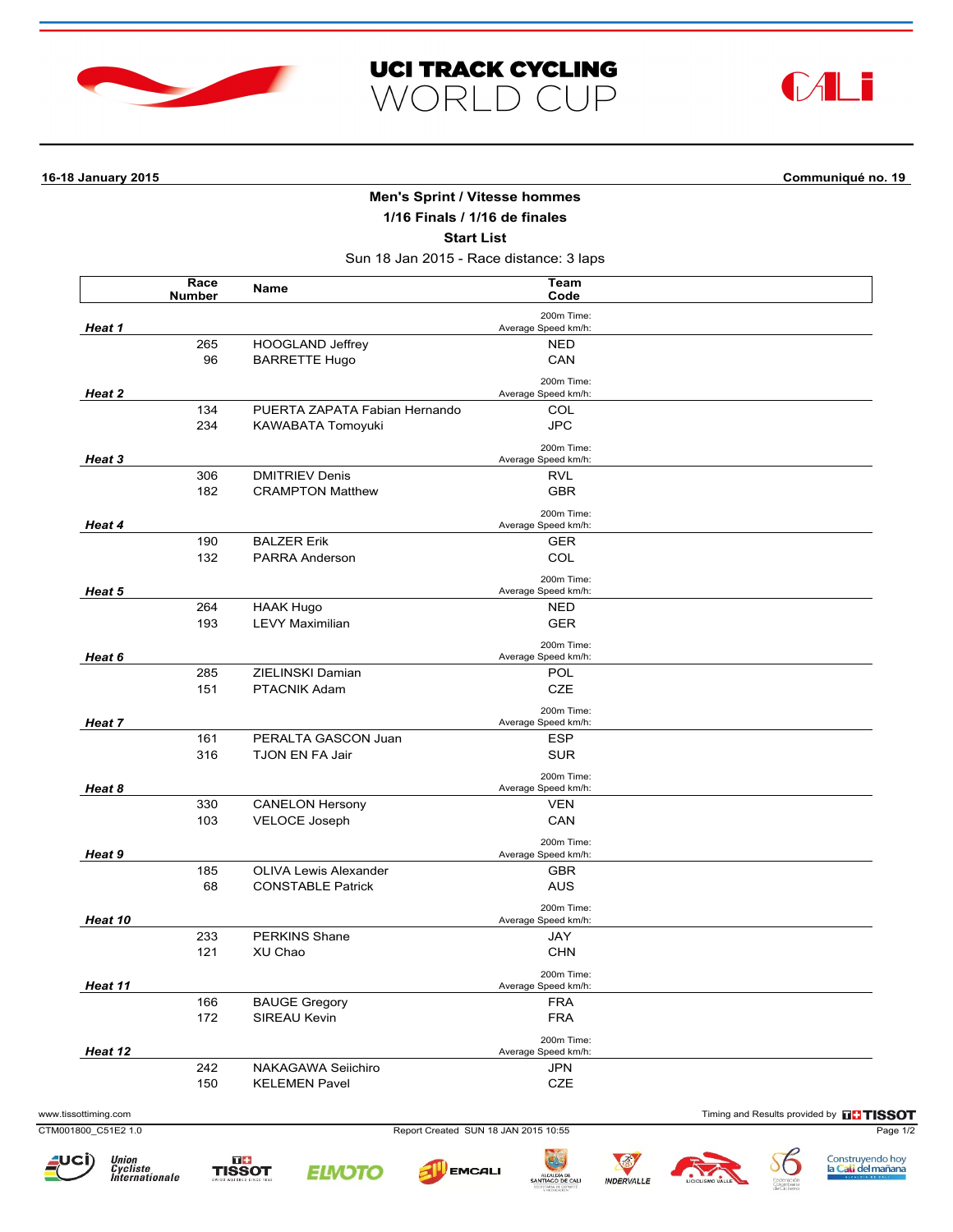





**16-18 January 2015 Communiqué no. 19**

## **Men's Sprint / Vitesse hommes**

**1/16 Finals / 1/16 de finales**

**Start List**

Sun 18 Jan 2015 - Race distance: 3 laps

|         | Race<br><b>Number</b> | Name                          | Team<br>Code                      |  |
|---------|-----------------------|-------------------------------|-----------------------------------|--|
| Heat 1  |                       |                               | 200m Time:<br>Average Speed km/h: |  |
|         | 265                   | <b>HOOGLAND Jeffrey</b>       | <b>NED</b>                        |  |
|         | 96                    | <b>BARRETTE Hugo</b>          | CAN                               |  |
| Heat 2  |                       |                               | 200m Time:<br>Average Speed km/h: |  |
|         | 134                   | PUERTA ZAPATA Fabian Hernando | COL                               |  |
|         | 234                   | KAWABATA Tomoyuki             | <b>JPC</b>                        |  |
|         |                       |                               | 200m Time:                        |  |
| Heat 3  |                       |                               | Average Speed km/h:               |  |
|         | 306                   | <b>DMITRIEV Denis</b>         | RVL                               |  |
|         | 182                   | <b>CRAMPTON Matthew</b>       | <b>GBR</b>                        |  |
|         |                       |                               | 200m Time:                        |  |
| Heat 4  |                       |                               | Average Speed km/h:               |  |
|         | 190<br>132            | <b>BALZER Erik</b>            | <b>GER</b><br>COL                 |  |
|         |                       | PARRA Anderson                |                                   |  |
| Heat 5  |                       |                               | 200m Time:<br>Average Speed km/h: |  |
|         | 264                   | <b>HAAK Hugo</b>              | <b>NED</b>                        |  |
|         | 193                   | <b>LEVY Maximilian</b>        | <b>GER</b>                        |  |
| Heat 6  |                       |                               | 200m Time:                        |  |
|         | 285                   | ZIELINSKI Damian              | Average Speed km/h:<br>POL        |  |
|         | 151                   | PTACNIK Adam                  | <b>CZE</b>                        |  |
|         |                       |                               | 200m Time:                        |  |
| Heat 7  |                       |                               | Average Speed km/h:               |  |
|         | 161                   | PERALTA GASCON Juan           | <b>ESP</b>                        |  |
|         | 316                   | <b>TJON EN FA Jair</b>        | <b>SUR</b>                        |  |
| Heat 8  |                       |                               | 200m Time:<br>Average Speed km/h: |  |
|         | 330                   | <b>CANELON Hersony</b>        | <b>VEN</b>                        |  |
|         | 103                   | VELOCE Joseph                 | CAN                               |  |
|         |                       |                               | 200m Time:                        |  |
| Heat 9  |                       |                               | Average Speed km/h:               |  |
|         | 185                   | <b>OLIVA Lewis Alexander</b>  | <b>GBR</b>                        |  |
|         | 68                    | <b>CONSTABLE Patrick</b>      | <b>AUS</b>                        |  |
| Heat 10 |                       |                               | 200m Time:<br>Average Speed km/h: |  |
|         | 233                   | <b>PERKINS Shane</b>          | JAY                               |  |
|         | 121                   | XU Chao                       | <b>CHN</b>                        |  |
|         |                       |                               | 200m Time:                        |  |
| Heat 11 |                       |                               | Average Speed km/h:               |  |
|         | 166                   | <b>BAUGE Gregory</b>          | <b>FRA</b>                        |  |
|         | 172                   | SIREAU Kevin                  | <b>FRA</b>                        |  |
| Heat 12 |                       |                               | 200m Time:<br>Average Speed km/h: |  |
|         | 242                   | NAKAGAWA Seiichiro            | <b>JPN</b>                        |  |
|         | 150                   | <b>KELEMEN Pavel</b>          | $CZE$                             |  |

CTM001800\_C51E2 1.0 Report Created SUN 18 JAN 2015 10:55 Page 1/2













SG